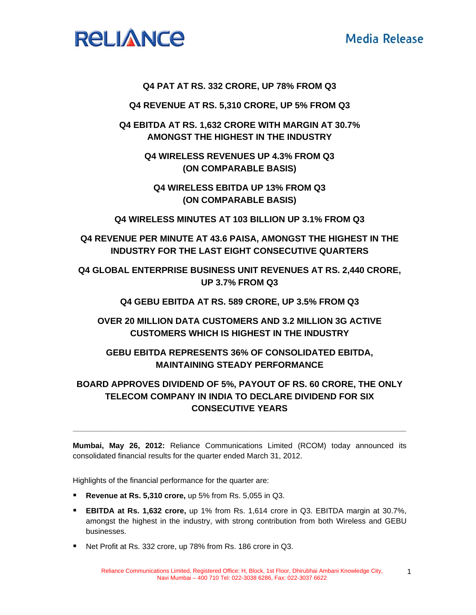# **Media Release**



### **Q4 PAT AT RS. 332 CRORE, UP 78% FROM Q3**

**Q4 REVENUE AT RS. 5,310 CRORE, UP 5% FROM Q3** 

**Q4 EBITDA AT RS. 1,632 CRORE WITH MARGIN AT 30.7% AMONGST THE HIGHEST IN THE INDUSTRY** 

> **Q4 WIRELESS REVENUES UP 4.3% FROM Q3 (ON COMPARABLE BASIS)**

**Q4 WIRELESS EBITDA UP 13% FROM Q3 (ON COMPARABLE BASIS)** 

**Q4 WIRELESS MINUTES AT 103 BILLION UP 3.1% FROM Q3** 

**Q4 REVENUE PER MINUTE AT 43.6 PAISA, AMONGST THE HIGHEST IN THE INDUSTRY FOR THE LAST EIGHT CONSECUTIVE QUARTERS** 

**Q4 GLOBAL ENTERPRISE BUSINESS UNIT REVENUES AT RS. 2,440 CRORE, UP 3.7% FROM Q3** 

**Q4 GEBU EBITDA AT RS. 589 CRORE, UP 3.5% FROM Q3** 

**OVER 20 MILLION DATA CUSTOMERS AND 3.2 MILLION 3G ACTIVE CUSTOMERS WHICH IS HIGHEST IN THE INDUSTRY** 

## **GEBU EBITDA REPRESENTS 36% OF CONSOLIDATED EBITDA, MAINTAINING STEADY PERFORMANCE**

# **BOARD APPROVES DIVIDEND OF 5%, PAYOUT OF RS. 60 CRORE, THE ONLY TELECOM COMPANY IN INDIA TO DECLARE DIVIDEND FOR SIX CONSECUTIVE YEARS**

**Mumbai, May 26, 2012:** Reliance Communications Limited (RCOM) today announced its consolidated financial results for the quarter ended March 31, 2012.

**\_\_\_\_\_\_\_\_\_\_\_\_\_\_\_\_\_\_\_\_\_\_\_\_\_\_\_\_\_\_\_\_\_\_\_\_\_\_\_\_\_\_\_\_\_\_\_\_\_\_\_\_\_\_\_\_\_\_\_\_\_\_\_\_\_\_\_\_\_\_\_\_\_\_\_\_\_\_\_\_\_\_** 

Highlights of the financial performance for the quarter are:

- **Revenue at Rs. 5,310 crore,** up 5% from Rs. 5,055 in Q3.
- **EBITDA at Rs. 1,632 crore,** up 1% from Rs. 1,614 crore in Q3. EBITDA margin at 30.7%, amongst the highest in the industry, with strong contribution from both Wireless and GEBU businesses.
- Net Profit at Rs. 332 crore, up 78% from Rs. 186 crore in Q3.

1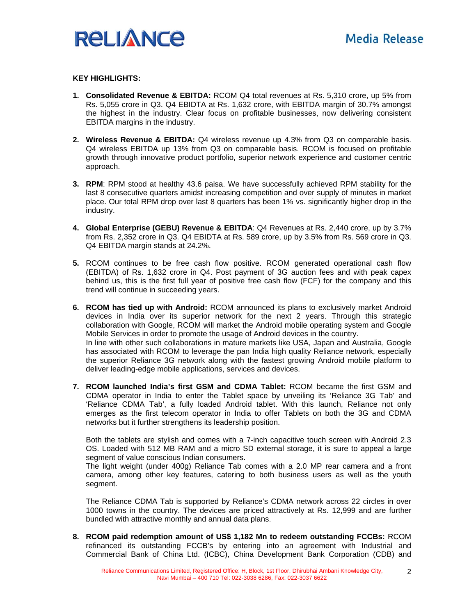

#### **KEY HIGHLIGHTS:**

- **1. Consolidated Revenue & EBITDA:** RCOM Q4 total revenues at Rs. 5,310 crore, up 5% from Rs. 5,055 crore in Q3. Q4 EBIDTA at Rs. 1,632 crore, with EBITDA margin of 30.7% amongst the highest in the industry. Clear focus on profitable businesses, now delivering consistent EBITDA margins in the industry.
- **2. Wireless Revenue & EBITDA:** Q4 wireless revenue up 4.3% from Q3 on comparable basis. Q4 wireless EBITDA up 13% from Q3 on comparable basis. RCOM is focused on profitable growth through innovative product portfolio, superior network experience and customer centric approach.
- **3. RPM**: RPM stood at healthy 43.6 paisa. We have successfully achieved RPM stability for the last 8 consecutive quarters amidst increasing competition and over supply of minutes in market place. Our total RPM drop over last 8 quarters has been 1% vs. significantly higher drop in the industry.
- **4. Global Enterprise (GEBU) Revenue & EBITDA**: Q4 Revenues at Rs. 2,440 crore, up by 3.7% from Rs. 2,352 crore in Q3. Q4 EBIDTA at Rs. 589 crore, up by 3.5% from Rs. 569 crore in Q3. Q4 EBITDA margin stands at 24.2%.
- **5.** RCOM continues to be free cash flow positive. RCOM generated operational cash flow (EBITDA) of Rs. 1,632 crore in Q4. Post payment of 3G auction fees and with peak capex behind us, this is the first full year of positive free cash flow (FCF) for the company and this trend will continue in succeeding years.
- **6. RCOM has tied up with Android:** RCOM announced its plans to exclusively market Android devices in India over its superior network for the next 2 years. Through this strategic collaboration with Google, RCOM will market the Android mobile operating system and Google Mobile Services in order to promote the usage of Android devices in the country. In line with other such collaborations in mature markets like USA, Japan and Australia, Google has associated with RCOM to leverage the pan India high quality Reliance network, especially the superior Reliance 3G network along with the fastest growing Android mobile platform to deliver leading-edge mobile applications, services and devices.
- **7. RCOM launched India's first GSM and CDMA Tablet:** RCOM became the first GSM and CDMA operator in India to enter the Tablet space by unveiling its 'Reliance 3G Tab' and 'Reliance CDMA Tab', a fully loaded Android tablet. With this launch, Reliance not only emerges as the first telecom operator in India to offer Tablets on both the 3G and CDMA networks but it further strengthens its leadership position.

Both the tablets are stylish and comes with a 7-inch capacitive touch screen with Android 2.3 OS. Loaded with 512 MB RAM and a micro SD external storage, it is sure to appeal a large segment of value conscious Indian consumers.

The light weight (under 400g) Reliance Tab comes with a 2.0 MP rear camera and a front camera, among other key features, catering to both business users as well as the youth segment.

The Reliance CDMA Tab is supported by Reliance's CDMA network across 22 circles in over 1000 towns in the country. The devices are priced attractively at Rs. 12,999 and are further bundled with attractive monthly and annual data plans.

**8. RCOM paid redemption amount of US\$ 1,182 Mn to redeem outstanding FCCBs:** RCOM refinanced its outstanding FCCB's by entering into an agreement with Industrial and Commercial Bank of China Ltd. (ICBC), China Development Bank Corporation (CDB) and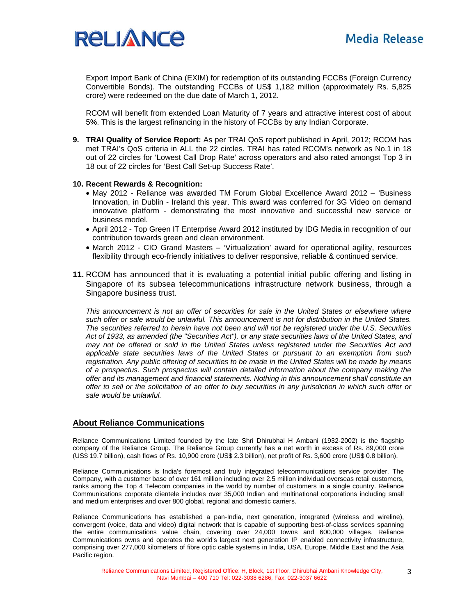

Export Import Bank of China (EXIM) for redemption of its outstanding FCCBs (Foreign Currency Convertible Bonds). The outstanding FCCBs of US\$ 1,182 million (approximately Rs. 5,825 crore) were redeemed on the due date of March 1, 2012.

RCOM will benefit from extended Loan Maturity of 7 years and attractive interest cost of about 5%. This is the largest refinancing in the history of FCCBs by any Indian Corporate.

**9. TRAI Quality of Service Report:** As per TRAI QoS report published in April, 2012; RCOM has met TRAI's QoS criteria in ALL the 22 circles. TRAI has rated RCOM's network as No.1 in 18 out of 22 circles for 'Lowest Call Drop Rate' across operators and also rated amongst Top 3 in 18 out of 22 circles for 'Best Call Set-up Success Rate'.

#### **10. Recent Rewards & Recognition:**

- May 2012 Reliance was awarded TM Forum Global Excellence Award 2012 'Business Innovation, in Dublin - Ireland this year. This award was conferred for 3G Video on demand innovative platform - demonstrating the most innovative and successful new service or business model.
- April 2012 Top Green IT Enterprise Award 2012 instituted by IDG Media in recognition of our contribution towards green and clean environment.
- March 2012 CIO Grand Masters 'Virtualization' award for operational agility, resources flexibility through eco-friendly initiatives to deliver responsive, reliable & continued service.
- **11.** RCOM has announced that it is evaluating a potential initial public offering and listing in Singapore of its subsea telecommunications infrastructure network business, through a Singapore business trust.

*This announcement is not an offer of securities for sale in the United States or elsewhere where such offer or sale would be unlawful. This announcement is not for distribution in the United States. The securities referred to herein have not been and will not be registered under the U.S. Securities Act of 1933, as amended (the "Securities Act"), or any state securities laws of the United States, and may not be offered or sold in the United States unless registered under the Securities Act and applicable state securities laws of the United States or pursuant to an exemption from such registration. Any public offering of securities to be made in the United States will be made by means of a prospectus. Such prospectus will contain detailed information about the company making the offer and its management and financial statements. Nothing in this announcement shall constitute an offer to sell or the solicitation of an offer to buy securities in any jurisdiction in which such offer or sale would be unlawful.*

#### **About Reliance Communications**

Reliance Communications Limited founded by the late Shri Dhirubhai H Ambani (1932-2002) is the flagship company of the Reliance Group. The Reliance Group currently has a net worth in excess of Rs. 89,000 crore (US\$ 19.7 billion), cash flows of Rs. 10,900 crore (US\$ 2.3 billion), net profit of Rs. 3,600 crore (US\$ 0.8 billion).

Reliance Communications is India's foremost and truly integrated telecommunications service provider. The Company, with a customer base of over 161 million including over 2.5 million individual overseas retail customers, ranks among the Top 4 Telecom companies in the world by number of customers in a single country. Reliance Communications corporate clientele includes over 35,000 Indian and multinational corporations including small and medium enterprises and over 800 global, regional and domestic carriers.

Reliance Communications has established a pan-India, next generation, integrated (wireless and wireline), convergent (voice, data and video) digital network that is capable of supporting best-of-class services spanning the entire communications value chain, covering over 24,000 towns and 600,000 villages. Reliance Communications owns and operates the world's largest next generation IP enabled connectivity infrastructure, comprising over 277,000 kilometers of fibre optic cable systems in India, USA, Europe, Middle East and the Asia Pacific region.